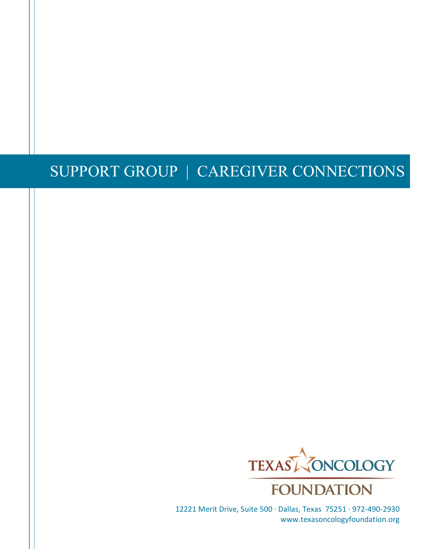## TEXAS ONCOLOGY FOUDNATION'S SUPPORT GROUPS CAREGIVER CONNECTIONS 2022-23 GROUP GUIDELINES



12221 Merit Drive, Suite 500 · Dallas, Texas 75251 · 972-490-2930 www.texasoncologyfoundation.org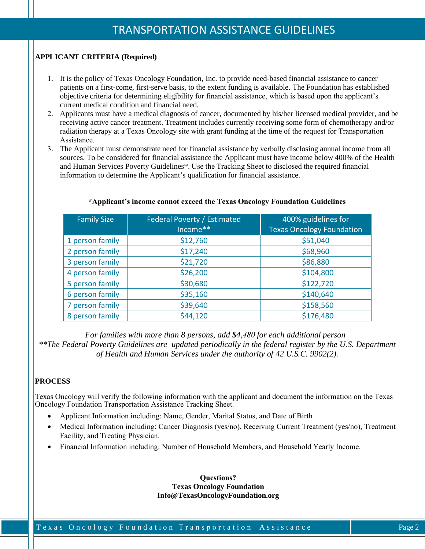## GROUP AGREEMENT

- **1. Everything discussed in the group is confidential in order to provide a safe space for sharing. However, in the virtual format, any information that is shared within the group has been made public information within that group and Texas Oncology Foundation cannot guarantee the privacy or confidentiality of any disclosures.**
- **2. Group members are asked to respect each other's feelings and views.**
- **3. Group members are encouraged to listen to others and refrain from offering advice unless it has been requested.**
- **4. Group members take responsibility for the success of this group by maintaining focus on the topics being discussed.**
- **5. Group members are encouraged to contact one of the facilitators if additional support is needed at any time outside of a meeting.**

## VIRTUAL SUPPORT GROUP TERMS

- **1. I understand that this voluntary support group is designed specifically for the caregivers of loved ones with cancer. This group is not to offer medical advice. The group is facilitated by a licensed social worker. Physicians will not be in attendance.**
- **2. I understand that this program will be offered virtually. An understanding of confidentiality between support group participants will be established, but any information that is shared within the group has been made public information within that group and the Texas Oncology Foundation cannot guarantee the privacy or confidentiality of any disclosures.**
- **3. I understand that participation in the support group is available via online video or audio only. In order to participate with video function, participants will need access to a computer/ device that has a camera, microphone, and internet access.**
- **4. I understand that The Texas Oncology Foundation's online registration tool will store my name, email, and phone number securely.**